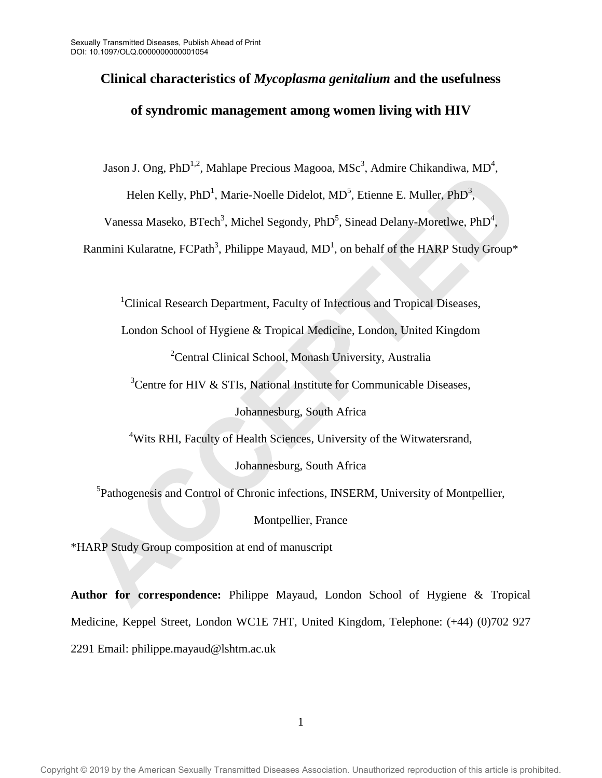# **Clinical characteristics of** *Mycoplasma genitalium* **and the usefulness of syndromic management among women living with HIV**

Jason J. Ong, PhD<sup>1,2</sup>, Mahlape Precious Magooa, MSc<sup>3</sup>, Admire Chikandiwa, MD<sup>4</sup>,

Helen Kelly, PhD<sup>1</sup>, Marie-Noelle Didelot, MD<sup>5</sup>, Etienne E. Muller, PhD<sup>3</sup>,

Vanessa Maseko, BTech<sup>3</sup>, Michel Segondy, PhD<sup>5</sup>, Sinead Delany-Moretlwe, PhD<sup>4</sup>,

Ranmini Kularatne, FCPath<sup>3</sup>, Philippe Mayaud, MD<sup>1</sup>, on behalf of the HARP Study Group\*

<sup>1</sup>Clinical Research Department, Faculty of Infectious and Tropical Diseases,

London School of Hygiene & Tropical Medicine, London, United Kingdom

<sup>2</sup>Central Clinical School, Monash University, Australia

 $3$ Centre for HIV & STIs, National Institute for Communicable Diseases,

Johannesburg, South Africa

<sup>4</sup>Wits RHI, Faculty of Health Sciences, University of the Witwatersrand,

Johannesburg, South Africa

<sup>5</sup>Pathogenesis and Control of Chronic infections, INSERM, University of Montpellier, Accouse Final Accouse State Piecelots Magooa, Mass. , Souther Chinamatwa, MD.<br>
Helen Kelly, PhD<sup>1</sup>, Marie-Noelle Didelot, MD<sup>5</sup>, Etienne E. Muller, PhD<sup>1</sup>,<br>
Vanessa Massko, BTech<sup>2</sup>, Michel Segondy, PhD<sup>5</sup>, Sinead Delany-

Montpellier, France

\*HARP Study Group composition at end of manuscript

**Author for correspondence:** Philippe Mayaud, London School of Hygiene & Tropical Medicine, Keppel Street, London WC1E 7HT, United Kingdom, Telephone: (+44) (0)702 927 2291 Email: philippe.mayaud@lshtm.ac.uk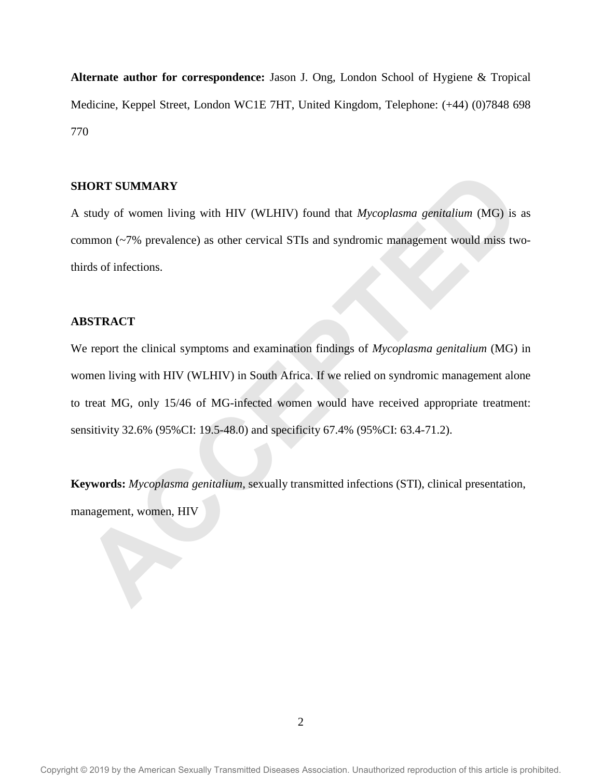**Alternate author for correspondence:** Jason J. Ong, London School of Hygiene & Tropical Medicine, Keppel Street, London WC1E 7HT, United Kingdom, Telephone: (+44) (0)7848 698 770

# **SHORT SUMMARY**

A study of women living with HIV (WLHIV) found that *Mycoplasma genitalium* (MG) is as common (~7% prevalence) as other cervical STIs and syndromic management would miss twothirds of infections.

# **ABSTRACT**

We report the clinical symptoms and examination findings of *Mycoplasma genitalium* (MG) in women living with HIV (WLHIV) in South Africa. If we relied on syndromic management alone to treat MG, only 15/46 of MG-infected women would have received appropriate treatment: sensitivity 32.6% (95%CI: 19.5-48.0) and specificity 67.4% (95%CI: 63.4-71.2). **HORT SUMMARY**<br>
study of women living with HIV (WLHIV) found that *Mycoplasma genitalium* (MG) is<br>
study of women living with HIV (WLHIV) found that *Mycoplasma genitalium* (Wd)<br>
itds of infections.<br> **BSTRACT**<br>
it export t

**Keywords:** *Mycoplasma genitalium*, sexually transmitted infections (STI), clinical presentation, management, women, HIV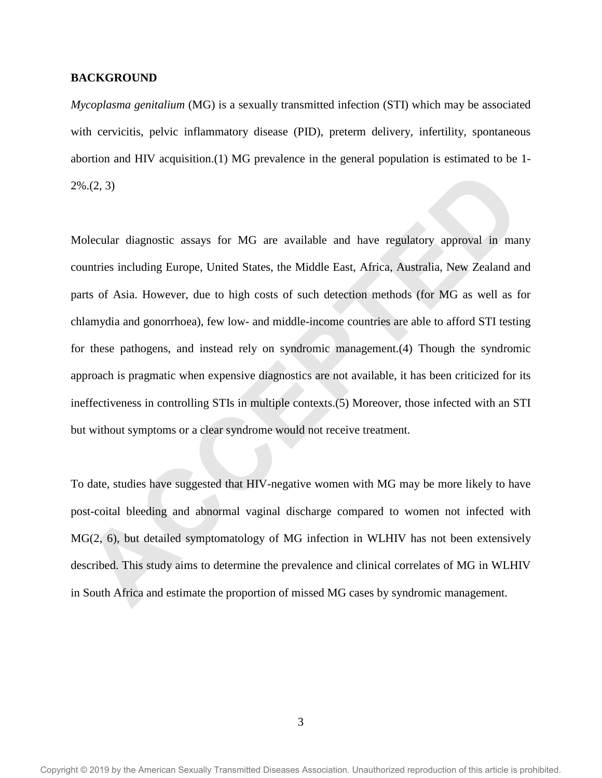# **BACKGROUND**

*Mycoplasma genitalium* (MG) is a sexually transmitted infection (STI) which may be associated with cervicitis, pelvic inflammatory disease (PID), preterm delivery, infertility, spontaneous abortion and HIV acquisition.(1) MG prevalence in the general population is estimated to be 1- 2%.(2, 3)

Molecular diagnostic assays for MG are available and have regulatory approval in many countries including Europe, United States, the Middle East, Africa, Australia, New Zealand and parts of Asia. However, due to high costs of such detection methods (for MG as well as for chlamydia and gonorrhoea), few low- and middle-income countries are able to afford STI testing for these pathogens, and instead rely on syndromic management.(4) Though the syndromic approach is pragmatic when expensive diagnostics are not available, it has been criticized for its ineffectiveness in controlling STIs in multiple contexts.(5) Moreover, those infected with an STI but without symptoms or a clear syndrome would not receive treatment. **ACCEPTED**

To date, studies have suggested that HIV-negative women with MG may be more likely to have post-coital bleeding and abnormal vaginal discharge compared to women not infected with MG(2, 6), but detailed symptomatology of MG infection in WLHIV has not been extensively described. This study aims to determine the prevalence and clinical correlates of MG in WLHIV in South Africa and estimate the proportion of missed MG cases by syndromic management.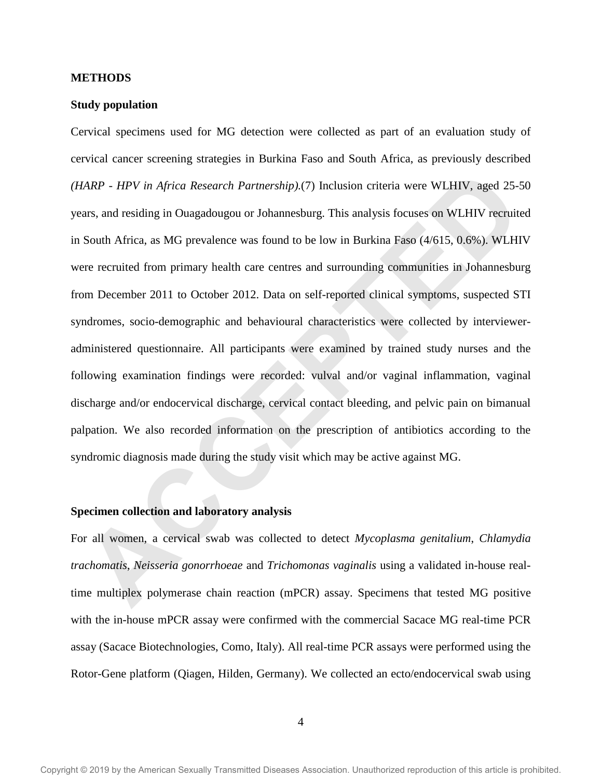# **METHODS**

# **Study population**

Cervical specimens used for MG detection were collected as part of an evaluation study of cervical cancer screening strategies in Burkina Faso and South Africa, as previously described *(HARP - HPV in Africa Research Partnership).*(7) Inclusion criteria were WLHIV, aged 25-50 years, and residing in Ouagadougou or Johannesburg. This analysis focuses on WLHIV recruited in South Africa, as MG prevalence was found to be low in Burkina Faso (4/615, 0.6%). WLHIV were recruited from primary health care centres and surrounding communities in Johannesburg from December 2011 to October 2012. Data on self-reported clinical symptoms, suspected STI syndromes, socio-demographic and behavioural characteristics were collected by intervieweradministered questionnaire. All participants were examined by trained study nurses and the following examination findings were recorded: vulval and/or vaginal inflammation, vaginal discharge and/or endocervical discharge, cervical contact bleeding, and pelvic pain on bimanual palpation. We also recorded information on the prescription of antibiotics according to the syndromic diagnosis made during the study visit which may be active against MG. HARP - HPV in Africa Research Partnership).(7) Inclusion criteria were WLHIV, aged 25-<br>ears, and residing in Ouagadougou or Johannesburg. This analysis focuses on WLHIV recruits<br>South Africa, as MG prevalence was found to

#### **Specimen collection and laboratory analysis**

For all women, a cervical swab was collected to detect *Mycoplasma genitalium*, *Chlamydia trachomatis*, *Neisseria gonorrhoeae* and *Trichomonas vaginalis* using a validated in-house realtime multiplex polymerase chain reaction (mPCR) assay. Specimens that tested MG positive with the in-house mPCR assay were confirmed with the commercial Sacace MG real-time PCR assay (Sacace Biotechnologies, Como, Italy). All real-time PCR assays were performed using the Rotor-Gene platform (Qiagen, Hilden, Germany). We collected an ecto/endocervical swab using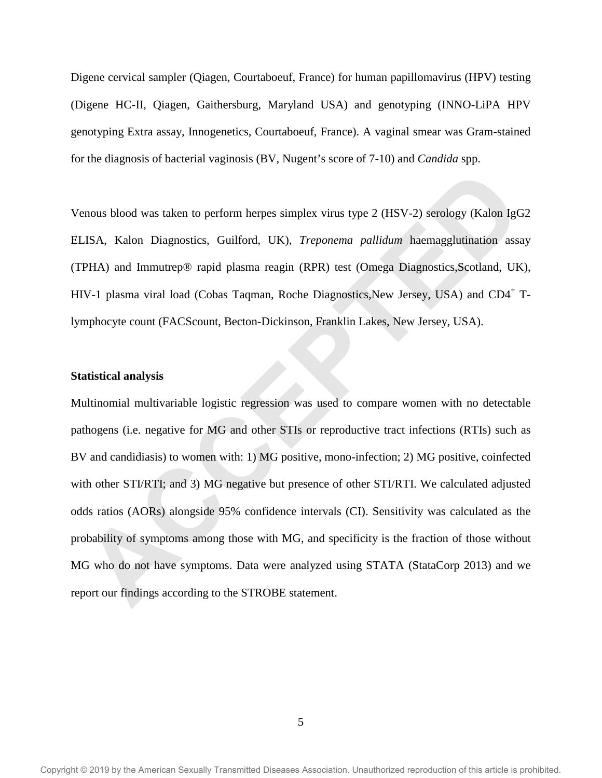Digene cervical sampler (Qiagen, Courtaboeuf, France) for human papillomavirus (HPV) testing (Digene HC-II, Qiagen, Gaithersburg, Maryland USA) and genotyping (INNO-LiPA HPV genotyping Extra assay, Innogenetics, Courtaboeuf, France). A vaginal smear was Gram-stained for the diagnosis of bacterial vaginosis (BV, Nugent's score of 7-10) and *Candida* spp.

Venous blood was taken to perform herpes simplex virus type 2 (HSV-2) serology (Kalon IgG2 ELISA, Kalon Diagnostics, Guilford, UK), *Treponema pallidum* haemagglutination assay (TPHA) and Immutrep® rapid plasma reagin (RPR) test (Omega Diagnostics,Scotland, UK), HIV-1 plasma viral load (Cobas Taqman, Roche Diagnostics, New Jersey, USA) and CD4<sup>+</sup> Tlymphocyte count (FACScount, Becton-Dickinson, Franklin Lakes, New Jersey, USA).

# **Statistical analysis**

Multinomial multivariable logistic regression was used to compare women with no detectable pathogens (i.e. negative for MG and other STIs or reproductive tract infections (RTIs) such as BV and candidiasis) to women with: 1) MG positive, mono-infection; 2) MG positive, coinfected with other STI/RTI; and 3) MG negative but presence of other STI/RTI. We calculated adjusted odds ratios (AORs) alongside 95% confidence intervals (CI). Sensitivity was calculated as the probability of symptoms among those with MG, and specificity is the fraction of those without MG who do not have symptoms. Data were analyzed using STATA (StataCorp 2013) and we report our findings according to the STROBE statement. enous blood was taken to perform herpes simplex virus type 2 (HSV-2) serology (Kalon IgC<br>LISA, Kalon Diagnostics, Guilford, UK), *Treponema pallidum* haemagglutination assisted that and the UKP of the UKP, the USB control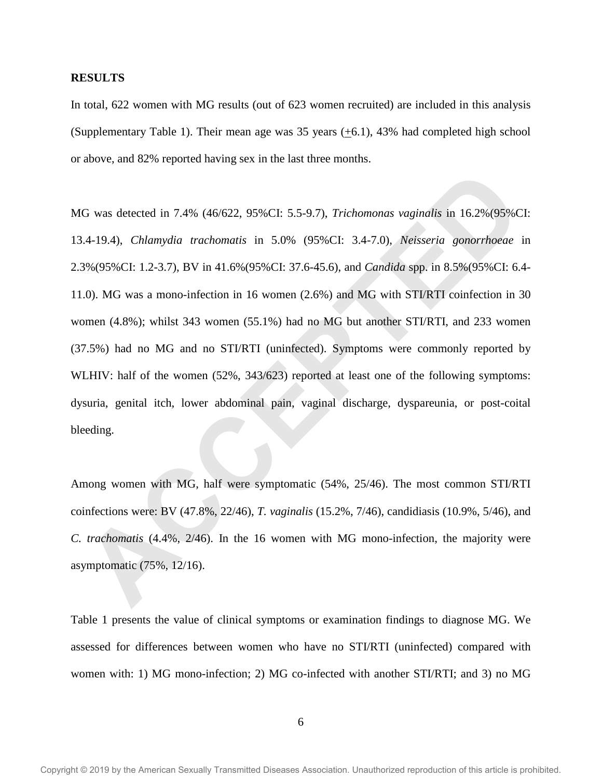# **RESULTS**

In total, 622 women with MG results (out of 623 women recruited) are included in this analysis (Supplementary Table 1). Their mean age was 35 years (+6.1), 43% had completed high school or above, and 82% reported having sex in the last three months.

MG was detected in 7.4% (46/622, 95%CI: 5.5-9.7), *Trichomonas vaginalis* in 16.2%(95%CI: 13.4-19.4), *Chlamydia trachomatis* in 5.0% (95%CI: 3.4-7.0), *Neisseria gonorrhoeae* in 2.3%(95%CI: 1.2-3.7), BV in 41.6%(95%CI: 37.6-45.6), and *Candida* spp. in 8.5%(95%CI: 6.4- 11.0). MG was a mono-infection in 16 women (2.6%) and MG with STI/RTI coinfection in 30 women (4.8%); whilst 343 women (55.1%) had no MG but another STI/RTI, and 233 women (37.5%) had no MG and no STI/RTI (uninfected). Symptoms were commonly reported by WLHIV: half of the women (52%, 343/623) reported at least one of the following symptoms: dysuria, genital itch, lower abdominal pain, vaginal discharge, dyspareunia, or post-coital bleeding. G was detected in 7.4% (46/622, 95%CI: 5.5-9.7). *Trichomonas vaginalis* in 16.2%(95%C<br>
A-19.4). *Chlamydia trachomatis* in 5.0% (95%CI: 3.4-7.0). *Netsseria generrhoeae*<br>
3%(95%CI: 12-3.7). BV in 41.6%(95%CI: 37.6-45.6),

Among women with MG, half were symptomatic (54%, 25/46). The most common STI/RTI coinfections were: BV (47.8%, 22/46), *T. vaginalis* (15.2%, 7/46), candidiasis (10.9%, 5/46), and *C. trachomatis* (4.4%, 2/46). In the 16 women with MG mono-infection, the majority were asymptomatic (75%, 12/16).

Table 1 presents the value of clinical symptoms or examination findings to diagnose MG. We assessed for differences between women who have no STI/RTI (uninfected) compared with women with: 1) MG mono-infection; 2) MG co-infected with another STI/RTI; and 3) no MG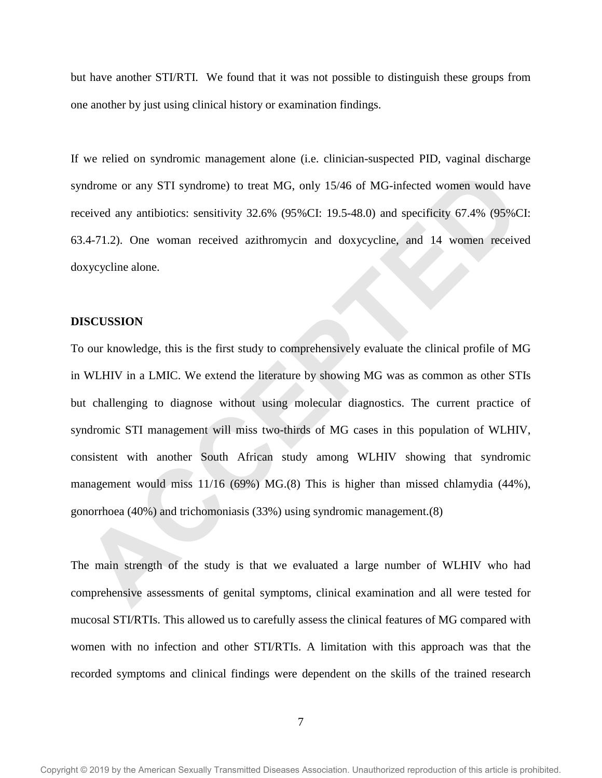but have another STI/RTI. We found that it was not possible to distinguish these groups from one another by just using clinical history or examination findings.

If we relied on syndromic management alone (i.e. clinician-suspected PID, vaginal discharge syndrome or any STI syndrome) to treat MG, only 15/46 of MG-infected women would have received any antibiotics: sensitivity 32.6% (95%CI: 19.5-48.0) and specificity 67.4% (95%CI: 63.4-71.2). One woman received azithromycin and doxycycline, and 14 women received doxycycline alone.

#### **DISCUSSION**

To our knowledge, this is the first study to comprehensively evaluate the clinical profile of MG in WLHIV in a LMIC. We extend the literature by showing MG was as common as other STIs but challenging to diagnose without using molecular diagnostics. The current practice of syndromic STI management will miss two-thirds of MG cases in this population of WLHIV, consistent with another South African study among WLHIV showing that syndromic management would miss 11/16 (69%) MG.(8) This is higher than missed chlamydia (44%), gonorrhoea (40%) and trichomoniasis (33%) using syndromic management.(8) mdrome or any STI syndrome) to treat MG, only 1546 of MG-infected women would have<br>eived any antibiotics: sensitivity 32.6% (95%CI: 19.5-48.0) and specificity 67.4% (95%C<br>A-4-71.2). One woman received azithromycin and doxy

The main strength of the study is that we evaluated a large number of WLHIV who had comprehensive assessments of genital symptoms, clinical examination and all were tested for mucosal STI/RTIs. This allowed us to carefully assess the clinical features of MG compared with women with no infection and other STI/RTIs. A limitation with this approach was that the recorded symptoms and clinical findings were dependent on the skills of the trained research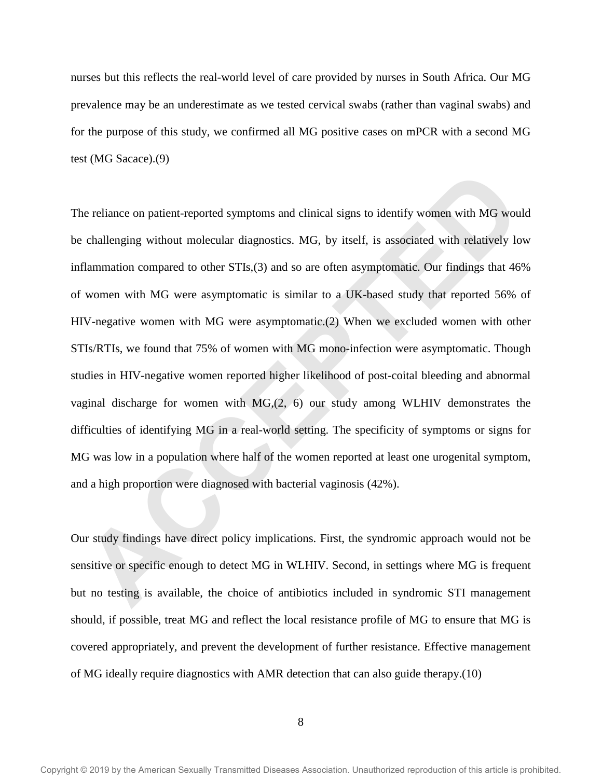nurses but this reflects the real-world level of care provided by nurses in South Africa. Our MG prevalence may be an underestimate as we tested cervical swabs (rather than vaginal swabs) and for the purpose of this study, we confirmed all MG positive cases on mPCR with a second MG test (MG Sacace).(9)

The reliance on patient-reported symptoms and clinical signs to identify women with MG would be challenging without molecular diagnostics. MG, by itself, is associated with relatively low inflammation compared to other STIs,(3) and so are often asymptomatic. Our findings that 46% of women with MG were asymptomatic is similar to a UK-based study that reported 56% of HIV-negative women with MG were asymptomatic.(2) When we excluded women with other STIs/RTIs, we found that 75% of women with MG mono-infection were asymptomatic. Though studies in HIV-negative women reported higher likelihood of post-coital bleeding and abnormal vaginal discharge for women with MG,(2, 6) our study among WLHIV demonstrates the difficulties of identifying MG in a real-world setting. The specificity of symptoms or signs for MG was low in a population where half of the women reported at least one urogenital symptom, and a high proportion were diagnosed with bacterial vaginosis (42%). are reliance on patient-reported symptoms and clinical signs to identify women with MG wouter challenging without molecular diagnostics. MG, by itself, is associated with relatively loflammation compared to other STIs.(3)

Our study findings have direct policy implications. First, the syndromic approach would not be sensitive or specific enough to detect MG in WLHIV. Second, in settings where MG is frequent but no testing is available, the choice of antibiotics included in syndromic STI management should, if possible, treat MG and reflect the local resistance profile of MG to ensure that MG is covered appropriately, and prevent the development of further resistance. Effective management of MG ideally require diagnostics with AMR detection that can also guide therapy.(10)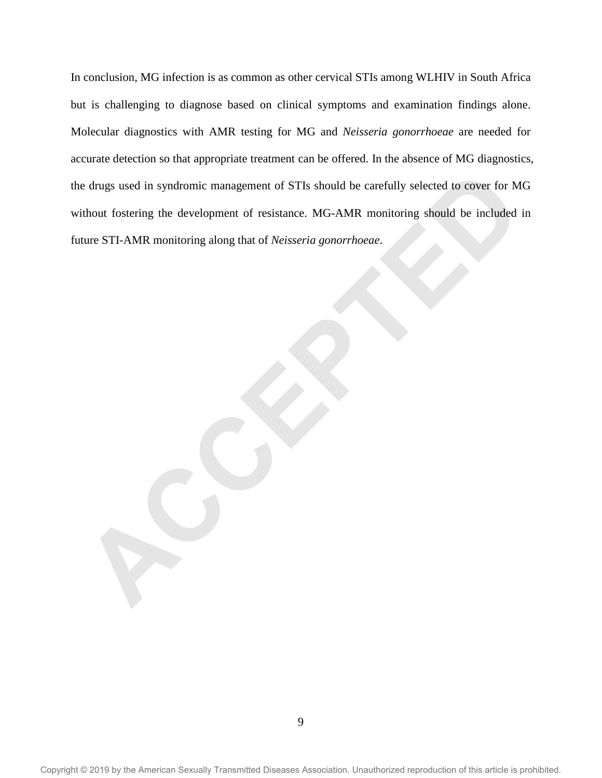In conclusion, MG infection is as common as other cervical STIs among WLHIV in South Africa but is challenging to diagnose based on clinical symptoms and examination findings alone. Molecular diagnostics with AMR testing for MG and *Neisseria gonorrhoeae* are needed for accurate detection so that appropriate treatment can be offered. In the absence of MG diagnostics, the drugs used in syndromic management of STIs should be carefully selected to cover for MG without fostering the development of resistance. MG-AMR monitoring should be included in future STI-AMR monitoring along that of *Neisseria gonorrhoeae*. Example of the syndromic management of STIs should be carefully selected to cover for M<br>
Activity fostering the development of resistance. MG-AMR monitoring should be included<br>
ture STI-AMR monitoring along that of *Neisse*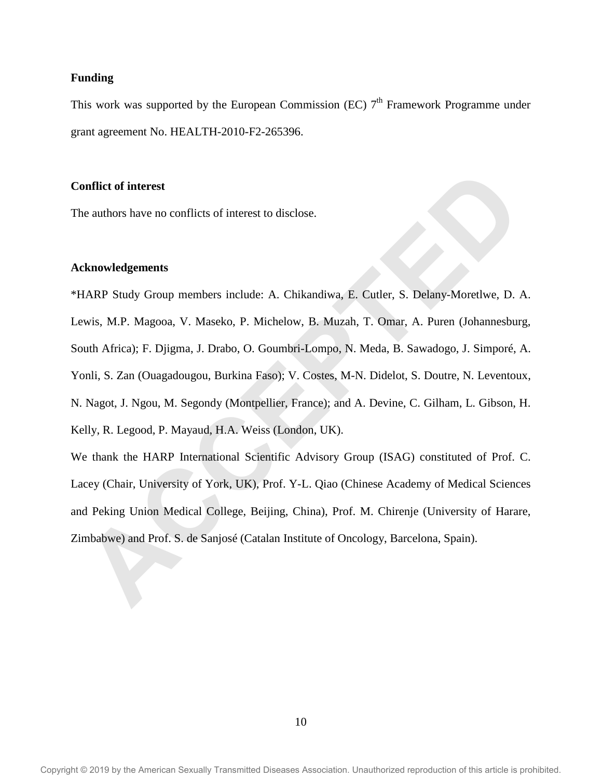# **Funding**

This work was supported by the European Commission (EC)  $7<sup>th</sup>$  Framework Programme under grant agreement No. HEALTH-2010-F2-265396.

# **Conflict of interest**

The authors have no conflicts of interest to disclose.

# **Acknowledgements**

\*HARP Study Group members include: A. Chikandiwa, E. Cutler, S. Delany-Moretlwe, D. A. Lewis, M.P. Magooa, V. Maseko, P. Michelow, B. Muzah, T. Omar, A. Puren (Johannesburg, South Africa); F. Djigma, J. Drabo, O. Goumbri-Lompo, N. Meda, B. Sawadogo, J. Simporé, A. Yonli, S. Zan (Ouagadougou, Burkina Faso); V. Costes, M-N. Didelot, S. Doutre, N. Leventoux, N. Nagot, J. Ngou, M. Segondy (Montpellier, France); and A. Devine, C. Gilham, L. Gibson, H. Kelly, R. Legood, P. Mayaud, H.A. Weiss (London, UK). **Example 16 interest**<br> **ARP** Study Group members include: A. Chikandiwa, E. Cutler, S. Delany-Moretlive, D.<br>
ARP Study Group members include: A. Chikandiwa, E. Cutler, S. Delany-Moretlive, D.<br>
ARP Study Group members inclu

We thank the HARP International Scientific Advisory Group (ISAG) constituted of Prof. C. Lacey (Chair, University of York, UK), Prof. Y-L. Qiao (Chinese Academy of Medical Sciences and Peking Union Medical College, Beijing, China), Prof. M. Chirenje (University of Harare, Zimbabwe) and Prof. S. de Sanjosé (Catalan Institute of Oncology, Barcelona, Spain).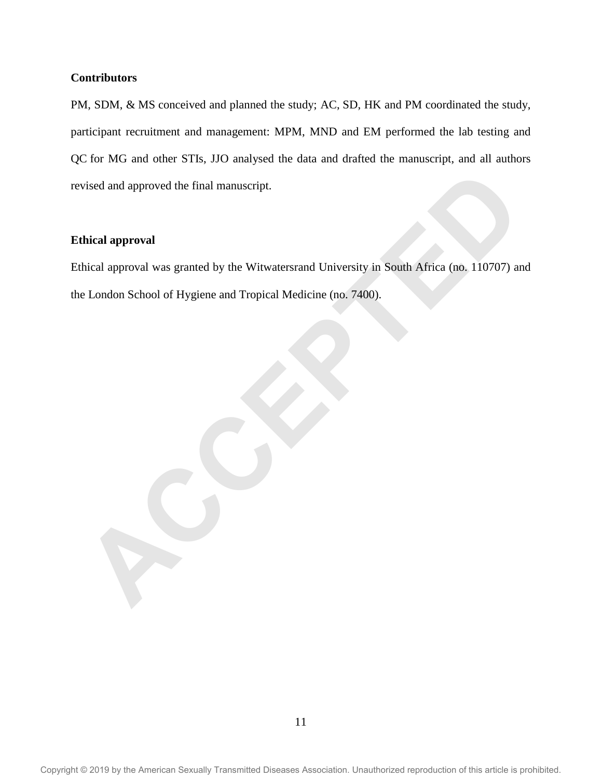# **Contributors**

PM, SDM, & MS conceived and planned the study; AC, SD, HK and PM coordinated the study, participant recruitment and management: MPM, MND and EM performed the lab testing and QC for MG and other STIs, JJO analysed the data and drafted the manuscript, and all authors revised and approved the final manuscript.

# **Ethical approval**

Ethical approval was granted by the Witwatersrand University in South Africa (no. 110707) and the London School of Hygiene and Tropical Medicine (no. 7400). vised and approval<br>
thical approval<br>
thical approval<br>
accelering the Witwatersrand University in South Africa (no. 110707)<br>
accelering to London School of Hygiene and Tropical Medicine (no. 7400).<br> **ACCEPT ACCEPT ACCEPT AC**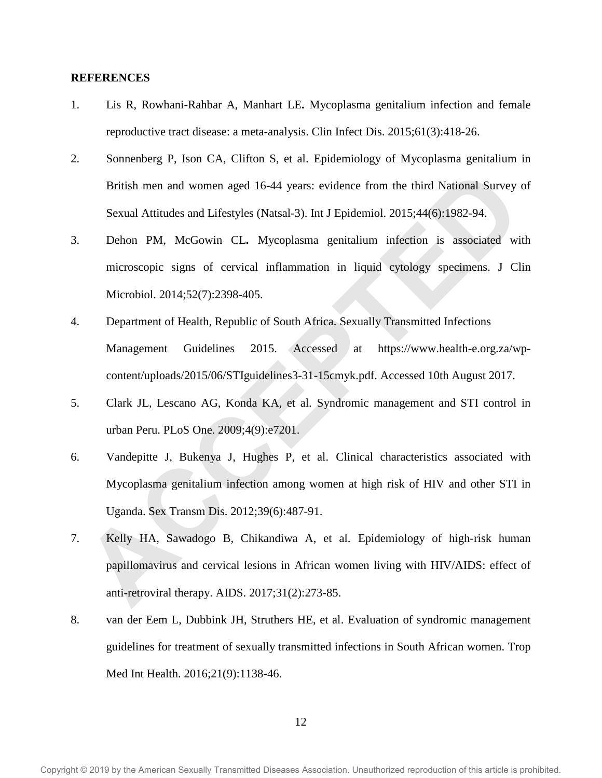# **REFERENCES**

- 1. Lis R, Rowhani-Rahbar A, Manhart LE**.** Mycoplasma genitalium infection and female reproductive tract disease: a meta-analysis. Clin Infect Dis. 2015;61(3):418-26.
- 2. Sonnenberg P, Ison CA, Clifton S, et al. Epidemiology of Mycoplasma genitalium in British men and women aged 16-44 years: evidence from the third National Survey of Sexual Attitudes and Lifestyles (Natsal-3). Int J Epidemiol. 2015;44(6):1982-94.
- 3. Dehon PM, McGowin CL**.** Mycoplasma genitalium infection is associated with microscopic signs of cervical inflammation in liquid cytology specimens. J Clin Microbiol. 2014;52(7):2398-405.
- 4. Department of Health, Republic of South Africa. Sexually Transmitted Infections Management Guidelines 2015. Accessed at https://www.health-e.org.za/wpcontent/uploads/2015/06/STIguidelines3-31-15cmyk.pdf. Accessed 10th August 2017. British men and women aged 16-44 years: evidence from the third National Survey<br>Sexual Attitudes and Lifestyles (Natsal-3). Int J Epidemiol. 2015;44(6):1982-94.<br>Dehon PM, McGowin CL. Mycoplasma genitalium infection is asso
- 5. Clark JL, Lescano AG, Konda KA, et al. Syndromic management and STI control in urban Peru. PLoS One. 2009;4(9):e7201.
- 6. Vandepitte J, Bukenya J, Hughes P, et al. Clinical characteristics associated with Mycoplasma genitalium infection among women at high risk of HIV and other STI in Uganda. Sex Transm Dis. 2012;39(6):487-91.
- 7. Kelly HA, Sawadogo B, Chikandiwa A, et al. Epidemiology of high-risk human papillomavirus and cervical lesions in African women living with HIV/AIDS: effect of anti-retroviral therapy. AIDS. 2017;31(2):273-85.
- 8. van der Eem L, Dubbink JH, Struthers HE, et al. Evaluation of syndromic management guidelines for treatment of sexually transmitted infections in South African women. Trop Med Int Health. 2016;21(9):1138-46.

12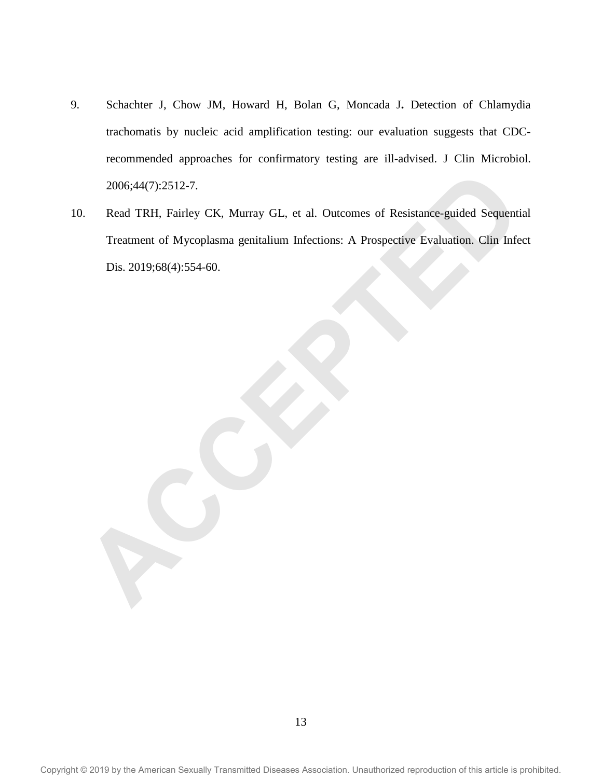- 9. Schachter J, Chow JM, Howard H, Bolan G, Moncada J**.** Detection of Chlamydia trachomatis by nucleic acid amplification testing: our evaluation suggests that CDCrecommended approaches for confirmatory testing are ill-advised. J Clin Microbiol. 2006;44(7):2512-7.
- 10. Read TRH, Fairley CK, Murray GL, et al. Outcomes of Resistance-guided Sequential Treatment of Mycoplasma genitalium Infections: A Prospective Evaluation. Clin Infect Dis. 2019;68(4):554-60. 2006;44(7):2512-7.<br>
Read TRH, Fairley CK, Murray GL, et al. Outcomes of Resistance-guided Sequenti<br>
Treatment of Mycoplasma genitalium Infections: A Prospective Evaluation. Clin Infe<br>
Dis. 2019:68(4):554-60.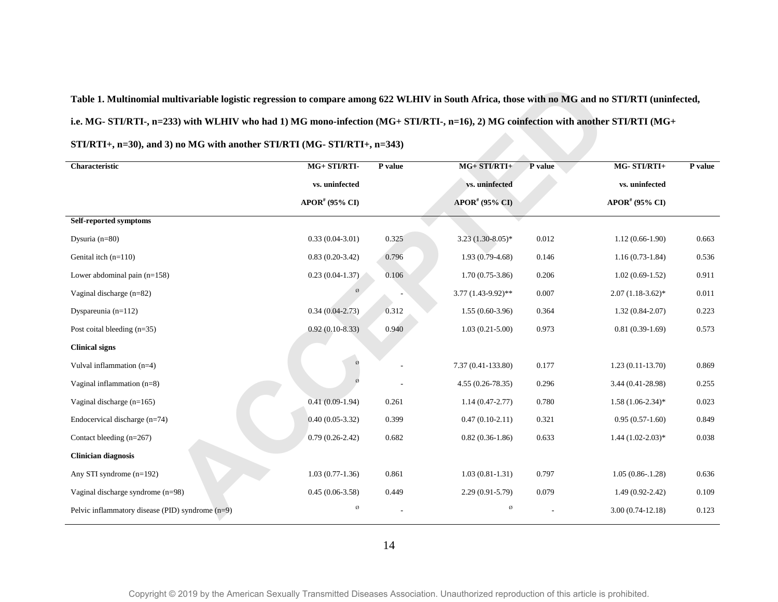# **Table 1. Multinomial multivariable logistic regression to compare among 622 WLHIV in South Africa, those with no MG and no STI/RTI (uninfected, i.e. MG- STI/RTI-, n=233) with WLHIV who had 1) MG mono-infection (MG+ STI/RTI-, n=16), 2) MG coinfection with another STI/RTI (MG+ STI/RTI+, n=30), and 3) no MG with another STI/RTI (MG- STI/RTI+, n=343)**

| Table 1. Multinomial multivariable logistic regression to compare among 622 WLHIV in South Africa, those with no MG and no STI/RTI (uninfected, |                              |         |                            |         |                            |         |
|-------------------------------------------------------------------------------------------------------------------------------------------------|------------------------------|---------|----------------------------|---------|----------------------------|---------|
| i.e. MG- STI/RTI-, n=233) with WLHIV who had 1) MG mono-infection (MG+ STI/RTI-, n=16), 2) MG coinfection with another STI/RTI (MG+             |                              |         |                            |         |                            |         |
| STI/RTI+, n=30), and 3) no MG with another STI/RTI (MG- STI/RTI+, n=343)                                                                        |                              |         |                            |         |                            |         |
| Characteristic                                                                                                                                  | MG+ STI/RTI-                 | P value | MG+ STI/RTI+               | P value | MG-STI/RTI+                | P value |
|                                                                                                                                                 | vs. uninfected               |         | vs. uninfected             |         | vs. uninfected             |         |
|                                                                                                                                                 | $APOR$ <sup>#</sup> (95% CI) |         | APOR <sup>#</sup> (95% CI) |         | APOR <sup>#</sup> (95% CI) |         |
| Self-reported symptoms                                                                                                                          |                              |         |                            |         |                            |         |
| Dysuria $(n=80)$                                                                                                                                | $0.33(0.04-3.01)$            | 0.325   | $3.23(1.30-8.05)$ *        | 0.012   | $1.12(0.66-1.90)$          | 0.663   |
| Genital itch $(n=110)$                                                                                                                          | $0.83(0.20-3.42)$            | 0.796   | $1.93(0.79-4.68)$          | 0.146   | $1.16(0.73-1.84)$          | 0.536   |
| Lower abdominal pain $(n=158)$                                                                                                                  | $0.23(0.04-1.37)$            | 0.106   | $1.70(0.75-3.86)$          | 0.206   | $1.02(0.69-1.52)$          | 0.911   |
| Vaginal discharge $(n=82)$                                                                                                                      |                              |         | $3.77(1.43-9.92)$ **       | 0.007   | $2.07(1.18-3.62)*$         | 0.011   |
| Dyspareunia (n=112)                                                                                                                             | $0.34(0.04-2.73)$            | 0.312   | $1.55(0.60-3.96)$          | 0.364   | $1.32(0.84-2.07)$          | 0.223   |
| Post coital bleeding (n=35)                                                                                                                     | $0.92(0.10-8.33)$            | 0.940   | $1.03(0.21-5.00)$          | 0.973   | $0.81(0.39-1.69)$          | 0.573   |
| <b>Clinical signs</b>                                                                                                                           |                              |         |                            |         |                            |         |
| Vulval inflammation $(n=4)$                                                                                                                     |                              |         | 7.37 (0.41-133.80)         | 0.177   | $1.23(0.11-13.70)$         | 0.869   |
| Vaginal inflammation $(n=8)$                                                                                                                    |                              |         | $4.55(0.26 - 78.35)$       | 0.296   | 3.44 (0.41-28.98)          | 0.255   |
| Vaginal discharge (n=165)                                                                                                                       | $0.41(0.09-1.94)$            | 0.261   | $1.14(0.47 - 2.77)$        | 0.780   | $1.58(1.06-2.34)$ *        | 0.023   |
| Endocervical discharge $(n=74)$                                                                                                                 | $0.40(0.05-3.32)$            | 0.399   | $0.47(0.10-2.11)$          | 0.321   | $0.95(0.57-1.60)$          | 0.849   |
| Contact bleeding (n=267)                                                                                                                        | $0.79(0.26-2.42)$            | 0.682   | $0.82(0.36-1.86)$          | 0.633   | $1.44(1.02-2.03)*$         | 0.038   |
| <b>Clinician diagnosis</b>                                                                                                                      |                              |         |                            |         |                            |         |
| Any STI syndrome (n=192)                                                                                                                        | $1.03(0.77-1.36)$            | 0.861   | $1.03(0.81 - 1.31)$        | 0.797   | $1.05(0.86-1.28)$          | 0.636   |
| Vaginal discharge syndrome (n=98)                                                                                                               | $0.45(0.06-3.58)$            | 0.449   | $2.29(0.91 - 5.79)$        | 0.079   | $1.49(0.92 - 2.42)$        | 0.109   |
| Pelvic inflammatory disease (PID) syndrome $(n=9)$                                                                                              | Ø                            |         | Ø                          |         | $3.00(0.74-12.18)$         | 0.123   |